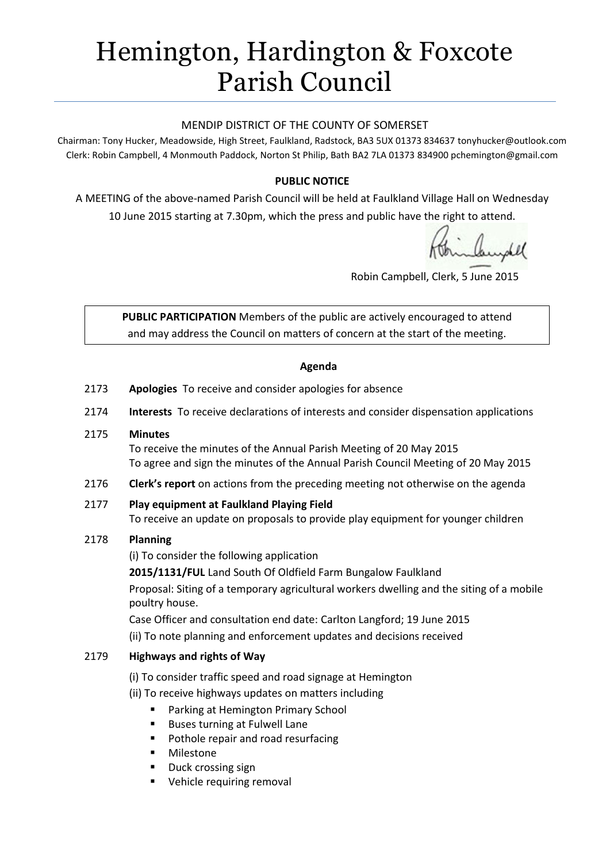# Hemington, Hardington & Foxcote Parish Council

#### MENDIP DISTRICT OF THE COUNTY OF SOMERSET

Chairman: Tony Hucker, Meadowside, High Street, Faulkland, Radstock, BA3 5UX 01373 834637 tonyhucker@outlook.com Clerk: Robin Campbell, 4 Monmouth Paddock, Norton St Philip, Bath BA2 7LA 01373 834900 [pchemington@gmail.com](mailto:pchemington@gmail.com)

## **PUBLIC NOTICE**

A MEETING of the above-named Parish Council will be held at Faulkland Village Hall on Wednesday 10 June 2015 starting at 7.30pm, which the press and public have the right to attend.

manydel

Robin Campbell, Clerk, 5 June 2015

**PUBLIC PARTICIPATION** Members of the public are actively encouraged to attend and may address the Council on matters of concern at the start of the meeting.

#### **Agenda**

- 2173 **Apologies** To receive and consider apologies for absence
- 2174 **Interests** To receive declarations of interests and consider dispensation applications

#### 2175 **Minutes**

To receive the minutes of the Annual Parish Meeting of 20 May 2015 To agree and sign the minutes of the Annual Parish Council Meeting of 20 May 2015

2176 **Clerk's report** on actions from the preceding meeting not otherwise on the agenda

#### 2177 **Play equipment at Faulkland Playing Field** To receive an update on proposals to provide play equipment for younger children

#### 2178 **Planning**

(i) To consider the following application

**2015/1131/FUL** Land South Of Oldfield Farm Bungalow Faulkland

Proposal: Siting of a temporary agricultural workers dwelling and the siting of a mobile poultry house.

Case Officer and consultation end date: Carlton Langford; 19 June 2015

(ii) To note planning and enforcement updates and decisions received

#### 2179 **Highways and rights of Way**

- (i) To consider traffic speed and road signage at Hemington
- (ii) To receive highways updates on matters including
	- **Parking at Hemington Primary School**
	- Buses turning at Fulwell Lane
	- Pothole repair and road resurfacing
	- Milestone
	- Duck crossing sign
	- Vehicle requiring removal